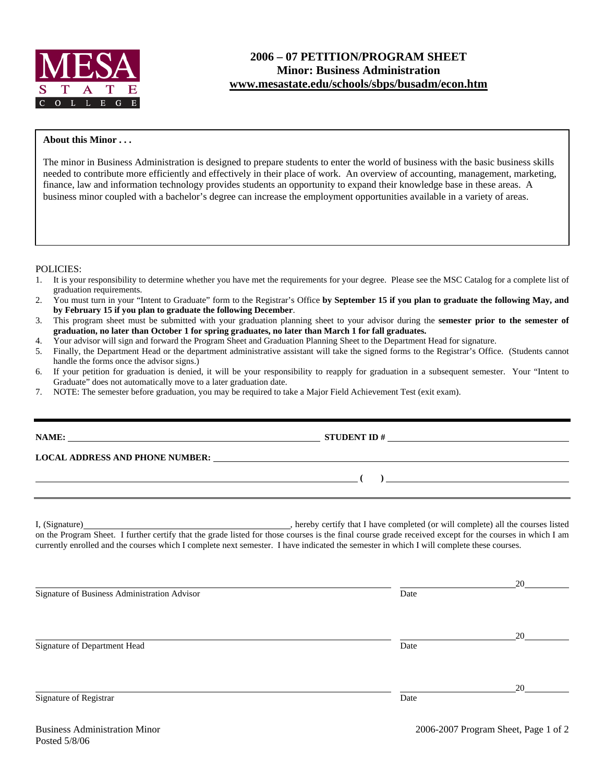

## **About this Minor . . .**

The minor in Business Administration is designed to prepare students to enter the world of business with the basic business skills needed to contribute more efficiently and effectively in their place of work. An overview of accounting, management, marketing, finance, law and information technology provides students an opportunity to expand their knowledge base in these areas. A business minor coupled with a bachelor's degree can increase the employment opportunities available in a variety of areas.

POLICIES:

- 1. It is your responsibility to determine whether you have met the requirements for your degree. Please see the MSC Catalog for a complete list of graduation requirements.
- 2. You must turn in your "Intent to Graduate" form to the Registrar's Office **by September 15 if you plan to graduate the following May, and by February 15 if you plan to graduate the following December**.
- 3. This program sheet must be submitted with your graduation planning sheet to your advisor during the **semester prior to the semester of graduation, no later than October 1 for spring graduates, no later than March 1 for fall graduates.**
- 4. Your advisor will sign and forward the Program Sheet and Graduation Planning Sheet to the Department Head for signature.
- 5. Finally, the Department Head or the department administrative assistant will take the signed forms to the Registrar's Office. (Students cannot handle the forms once the advisor signs.)
- 6. If your petition for graduation is denied, it will be your responsibility to reapply for graduation in a subsequent semester. Your "Intent to Graduate" does not automatically move to a later graduation date.
- 7. NOTE: The semester before graduation, you may be required to take a Major Field Achievement Test (exit exam).

|                                                                                                                                          | $\overline{a}$ (b) and the contract of $\overline{a}$ (b) and the contract of $\overline{a}$ (b) and the contract of $\overline{a}$ |    |
|------------------------------------------------------------------------------------------------------------------------------------------|-------------------------------------------------------------------------------------------------------------------------------------|----|
| currently enrolled and the courses which I complete next semester. I have indicated the semester in which I will complete these courses. |                                                                                                                                     |    |
| Signature of Business Administration Advisor                                                                                             | Date                                                                                                                                | 20 |
| Signature of Department Head                                                                                                             | Date                                                                                                                                |    |
| Signature of Registrar                                                                                                                   | Date                                                                                                                                | 20 |
| $\mathbf{r}$ . The set of $\mathbf{r}$ is the set of $\mathbf{r}$                                                                        | 0.00500000                                                                                                                          |    |